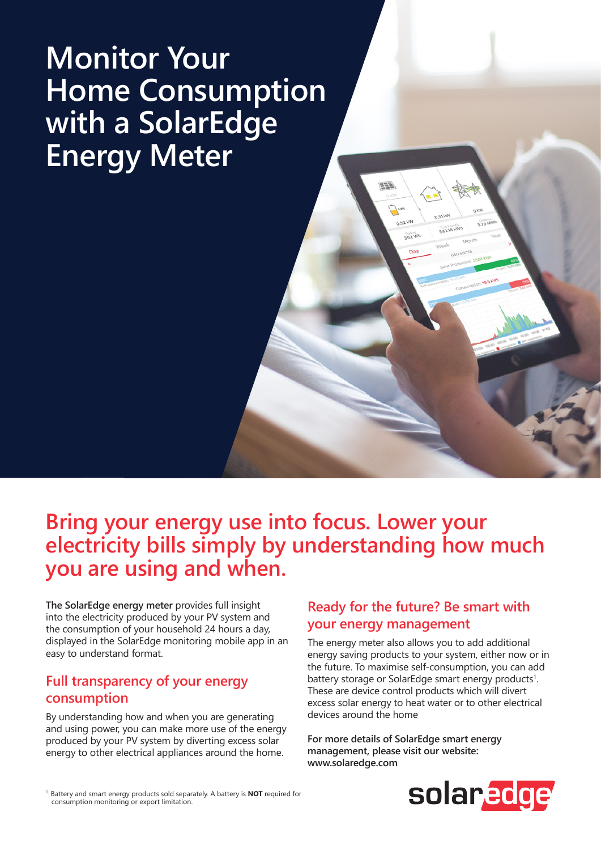# **Monitor Your Home Consumption with a SolarEdge Energy Meter**

**Bring your energy use into focus. Lower your electricity bills simply by understanding how much you are using and when.** 

**The SolarEdge energy meter** provides full insight into the electricity produced by your PV system and the consumption of your household 24 hours a day, displayed in the SolarEdge monitoring mobile app in an easy to understand format.

### **Full transparency of your energy consumption**

By understanding how and when you are generating and using power, you can make more use of the energy produced by your PV system by diverting excess solar energy to other electrical appliances around the home.

### **Ready for the future? Be smart with your energy management**

EEA

He 0.32 W

The energy meter also allows you to add additional energy saving products to your system, either now or in the future. To maximise self-consumption, you can add battery storage or SolarEdge smart energy products<sup>1</sup>. These are device control products which will divert excess solar energy to heat water or to other electrical devices around the home

**For more details of SolarEdge smart energy management, please visit our website: www.solaredge.com**



1. Battery and smart energy products sold separately. A battery is **NOT** required for consumption monitoring or export limitation.